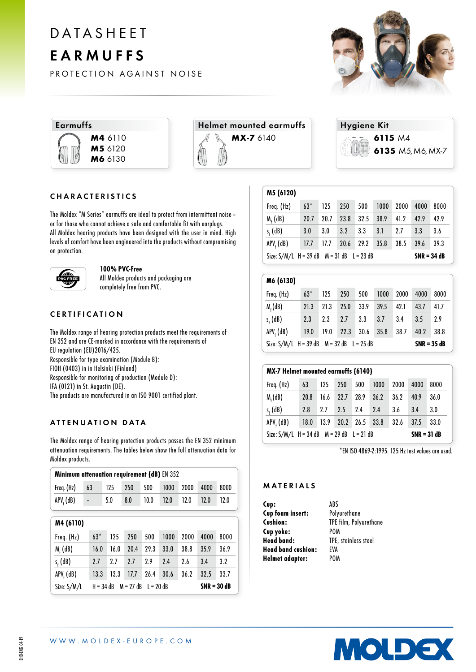# DATASHEET EARMUFFS

PROTECTION AGAINST NOISE





 $\sqrt{15.666}$ 





# CHARACTERISTICS

The Moldex "M Series" earmuffs are ideal to protect from intermittent noise– or for those who cannot achieve a safe and comfortable fit with earplugs. All Moldex hearing products have been designed with the user in mind. High levels of comfort have been engineered into the products without compromising on protection.



#### 100% PVC-Free

All Moldex products and packaging are completely free from PVC.

# CERTIFICATION

The Moldex range of hearing protection products meet the requirements of EN 352 and are CE-marked in accordance with the requirements of EU regulation (EU)2016/425. Responsible for type examination (Module B): FIOH (0403) in in Helsinki (Finland) Responsible for monitoring of production (Module D): IFA (0121) in St. Augustin (DE). The products are manufactured in an ISO 9001 certified plant.

# ATTENUATION DATA

The Moldex range of hearing protection products passes the EN 352 minimum attenuation requirements. The tables below show the full attenuation data for Moldex products.

| Minimum attenuation requirement (dB) EN 352                               |           |      |      |      |      |      |      |      |
|---------------------------------------------------------------------------|-----------|------|------|------|------|------|------|------|
| Freq. (Hz)                                                                | 63        | 125  | 250  | 500  | 1000 | 2000 | 4000 | 8000 |
| APV <sub>4</sub> (dB)                                                     |           | 5.0  | 8.0  | 10.0 | 12.0 | 12.0 | 12.0 | 12.0 |
|                                                                           | M4 (6110) |      |      |      |      |      |      |      |
| Freq. (Hz)                                                                | $63*$     | 125  | 250  | 500  | 1000 | 2000 | 4000 | 8000 |
| $M_f$ (dB)                                                                | 16.0      | 16.0 | 20.4 | 29.3 | 33.0 | 38.8 | 35.9 | 36.9 |
| $s_{\epsilon}$ (dB)                                                       | 2.7       | 2.7  | 2.7  | 2.9  | 2.4  | 2.6  | 3.4  | 3.2  |
| APV, (dB)                                                                 | 13.3      | 13.3 | 17.7 | 26.4 | 30.6 | 36.2 | 32.5 | 33.7 |
| $M = 27 dB$<br>Size: S/M/L<br>$H = 34 dB$<br>$I = 20$ dB<br>$SNR = 30 dB$ |           |      |      |      |      |      |      |      |

| M5 (6120)                                                      |             |      |           |      |      |      |      |      |
|----------------------------------------------------------------|-------------|------|-----------|------|------|------|------|------|
| Freq. (Hz)                                                     | $63*$       | 125  | 250       | 500  | 1000 | 2000 | 4000 | 8000 |
| $Mr$ (dB)                                                      | 20.7        | 20.7 | 23.8      | 32.5 | 38.9 | 41.2 | 42.9 | 42.9 |
| $s_{r}$ (dB)                                                   | 3.0         | 3.0  | 3.2       | 3.3  | 3.1  | 2.7  | 3.3  | 3.6  |
| $APVf$ (dB)                                                    | $17.7$ 17.7 |      | 20.6 29.2 |      | 35.8 | 38.5 | 39.6 | 39.3 |
| Size: $S/M/L$ H = 39 dB $M = 31$ dB L = 23 dB<br>$SNR = 34 dB$ |             |      |           |      |      |      |      |      |

| M6 (6130)                                                        |       |      |      |      |      |      |      |      |
|------------------------------------------------------------------|-------|------|------|------|------|------|------|------|
| Freq. (Hz)                                                       | $63*$ | 125  | 250  | 500  | 1000 | 2000 | 4000 | 8000 |
| M <sub>r</sub> (dB)                                              | 21.3  | 21.3 | 25.0 | 33.9 | 39.5 | 42.1 | 43.7 | 41.7 |
| $s_{r}$ (dB)                                                     | 2.3   | 2.3  | 2.7  | 3.3  | 3.7  | 3.4  | 3.5  | 2.9  |
| APV, (dB)                                                        | 19.0  | 19.0 | 22.3 | 30.6 | 35.8 | 38.7 | 40.2 | 38.8 |
| Size: $S/M/L$ H = 39 dB $M = 32$ dB $L = 25$ dB<br>$SNR = 35 dB$ |       |      |      |      |      |      |      |      |

# MX-7 Helmet mounted earmuffs (6140)

| Freq. (Hz)                                                     | 63                       |  | 125 250 500     |      | 1000 | 2000 | 4000 | 8000 |
|----------------------------------------------------------------|--------------------------|--|-----------------|------|------|------|------|------|
| $M_{f}$ (dB)                                                   | 20.8                     |  | $16.6$ 22.7     | 28.9 | 36.2 | 36.2 | 40.9 | 36.0 |
| $s_{\epsilon}$ (dB)                                            | 2.8                      |  | 2.7 2.5 2.4 2.4 |      |      | 3.6  | 3.4  | 3.0  |
| APV, (dB)                                                      | 18.0 13.9 20.2 26.5 33.8 |  |                 |      |      | 32.6 | 37.5 | 33.0 |
| Size: $S/M/L$ H = 34 dB $M = 29$ dB L = 21 dB<br>$SNR = 31 dB$ |                          |  |                 |      |      |      |      |      |

\*EN ISO 4869-2:1995. 125 Hz test values are used.

# MATERIALS

Cup: ABS **Cup foam insert:** Polyurethane<br> **Cushion:** TPF film Poly TPE film, Polyurethane<br>POM Cup yoke:<br>Head band: TPE, stainless steel Head band cushion: EVA Helmet adapter: POM